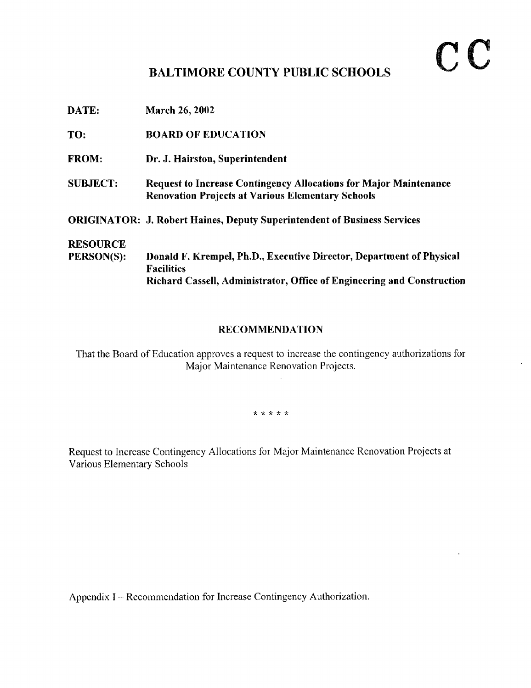## $\mathbf{C} \mathbf{C}$

## BALTIMORE COUNTY PUBLIC SCHOOLS

| <b>BOARD OF EDUCATION</b>                                                                                                                                           |
|---------------------------------------------------------------------------------------------------------------------------------------------------------------------|
| Dr. J. Hairston, Superintendent                                                                                                                                     |
| <b>Request to Increase Contingency Allocations for Major Maintenance</b><br><b>Renovation Projects at Various Elementary Schools</b>                                |
| <b>ORIGINATOR: J. Robert Haines, Deputy Superintendent of Business Services</b>                                                                                     |
|                                                                                                                                                                     |
| Donald F. Krempel, Ph.D., Executive Director, Department of Physical<br><b>Facilities</b><br>Richard Cassell, Administrator, Office of Engineering and Construction |
|                                                                                                                                                                     |

## RECOMMENDATION

That the Board of Education approves a request to increase the contingency authorizations for Major Maintenance Renovation Projects.

\* \* \* \* \*

Request to Increase Contingency Allocations for Major Maintenance Renovation Projects at Various Elementary Schools

Appendix I -- Recommendation for Increase Contingency Authorization.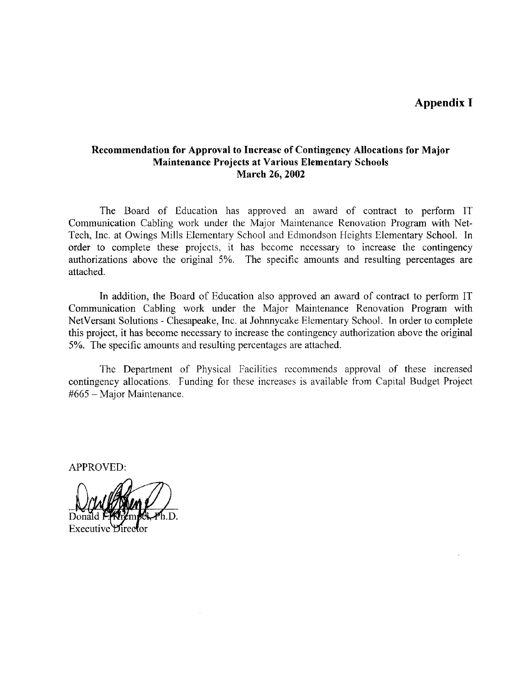Appendix I

## Recommendation for Approval to Increase of Contingency Allocations for Major Maintenance Projects at Various Elementary Schools March 26, 2002

The Board of Education has approved an award of contract to perform IT Communication Cabling work under the Major Maintenance Renovation Program with Net-Tech, Inc. at Owings Mills Elementary School and Edmondson Heights Elementary School. In order to complete these projects, it has become necessary to increase the contingency authorizations above the original 5%. The specific amounts and resulting percentages are attached.

In addition, the Board of Education also approved an award of contract to perform IT Communication Cabling work under the Major Maintenance Renovation Program with NetVersant Solutions - Chesapeake, Inc. at Johnnycake Elementary School. In order to complete this project, it has become necessary to increase the contingency authorization above the original 5%. The specific amounts and resulting percentages are attached .

The Department of Physical Facilities recommends approval of these increased contingency allocations. Funding for these increases is available from Capital Budget Project #665 - Major Maintenance.

APPROVED:

Executive *Hired*